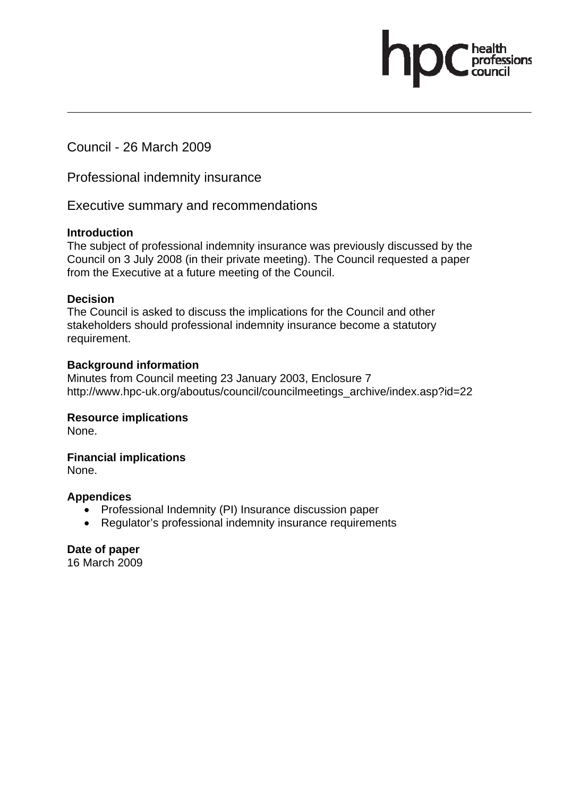Council - 26 March 2009

Professional indemnity insurance

Executive summary and recommendations

#### **Introduction**

The subject of professional indemnity insurance was previously discussed by the Council on 3 July 2008 (in their private meeting). The Council requested a paper from the Executive at a future meeting of the Council.

ofessions

#### **Decision**

The Council is asked to discuss the implications for the Council and other stakeholders should professional indemnity insurance become a statutory requirement.

#### **Background information**

Minutes from Council meeting 23 January 2003, Enclosure 7 http://www.hpc-uk.org/aboutus/council/councilmeetings\_archive/index.asp?id=22

#### **Resource implications**

None.

**Financial implications** 

None.

#### **Appendices**

- Professional Indemnity (PI) Insurance discussion paper
- Regulator's professional indemnity insurance requirements

**Date of paper** 

16 March 2009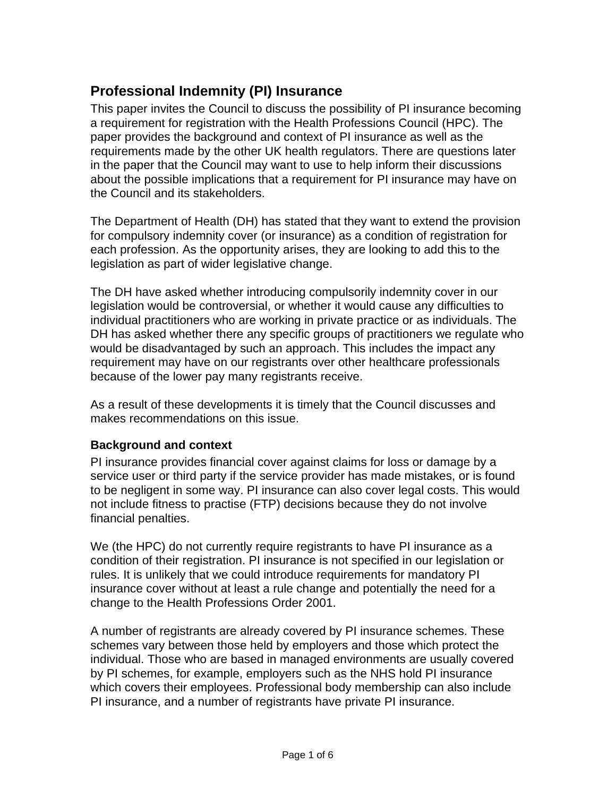# **Professional Indemnity (PI) Insurance**

This paper invites the Council to discuss the possibility of PI insurance becoming a requirement for registration with the Health Professions Council (HPC). The paper provides the background and context of PI insurance as well as the requirements made by the other UK health regulators. There are questions later in the paper that the Council may want to use to help inform their discussions about the possible implications that a requirement for PI insurance may have on the Council and its stakeholders.

The Department of Health (DH) has stated that they want to extend the provision for compulsory indemnity cover (or insurance) as a condition of registration for each profession. As the opportunity arises, they are looking to add this to the legislation as part of wider legislative change.

The DH have asked whether introducing compulsorily indemnity cover in our legislation would be controversial, or whether it would cause any difficulties to individual practitioners who are working in private practice or as individuals. The DH has asked whether there any specific groups of practitioners we regulate who would be disadvantaged by such an approach. This includes the impact any requirement may have on our registrants over other healthcare professionals because of the lower pay many registrants receive.

As a result of these developments it is timely that the Council discusses and makes recommendations on this issue.

#### **Background and context**

PI insurance provides financial cover against claims for loss or damage by a service user or third party if the service provider has made mistakes, or is found to be negligent in some way. PI insurance can also cover legal costs. This would not include fitness to practise (FTP) decisions because they do not involve financial penalties.

We (the HPC) do not currently require registrants to have PI insurance as a condition of their registration. PI insurance is not specified in our legislation or rules. It is unlikely that we could introduce requirements for mandatory PI insurance cover without at least a rule change and potentially the need for a change to the Health Professions Order 2001.

A number of registrants are already covered by PI insurance schemes. These schemes vary between those held by employers and those which protect the individual. Those who are based in managed environments are usually covered by PI schemes, for example, employers such as the NHS hold PI insurance which covers their employees. Professional body membership can also include PI insurance, and a number of registrants have private PI insurance.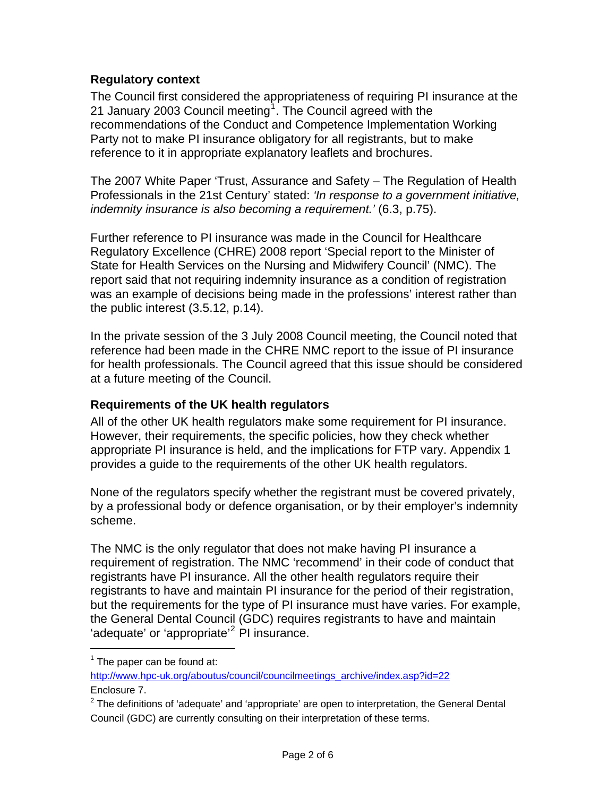#### **Regulatory context**

The Council first considered the appropriateness of requiring PI insurance at the 21 January 2003 Council meeting<sup>1</sup>. The Council agreed with the recommendations of the Conduct and Competence Implementation Working Party not to make PI insurance obligatory for all registrants, but to make reference to it in appropriate explanatory leaflets and brochures.

The 2007 White Paper 'Trust, Assurance and Safety – The Regulation of Health Professionals in the 21st Century' stated: *'In response to a government initiative, indemnity insurance is also becoming a requirement.'* (6.3, p.75).

Further reference to PI insurance was made in the Council for Healthcare Regulatory Excellence (CHRE) 2008 report 'Special report to the Minister of State for Health Services on the Nursing and Midwifery Council' (NMC). The report said that not requiring indemnity insurance as a condition of registration was an example of decisions being made in the professions' interest rather than the public interest (3.5.12, p.14).

In the private session of the 3 July 2008 Council meeting, the Council noted that reference had been made in the CHRE NMC report to the issue of PI insurance for health professionals. The Council agreed that this issue should be considered at a future meeting of the Council.

#### **Requirements of the UK health regulators**

All of the other UK health regulators make some requirement for PI insurance. However, their requirements, the specific policies, how they check whether appropriate PI insurance is held, and the implications for FTP vary. Appendix 1 provides a guide to the requirements of the other UK health regulators.

None of the regulators specify whether the registrant must be covered privately, by a professional body or defence organisation, or by their employer's indemnity scheme.

The NMC is the only regulator that does not make having PI insurance a requirement of registration. The NMC 'recommend' in their code of conduct that registrants have PI insurance. All the other health regulators require their registrants to have and maintain PI insurance for the period of their registration, but the requirements for the type of PI insurance must have varies. For example, the General Dental Council (GDC) requires registrants to have and maintain 'adequate' or 'appropriate'<sup>2</sup> PI insurance.

 $\overline{a}$ 

 $1$  The paper can be found at:

http://www.hpc-uk.org/aboutus/council/councilmeetings\_archive/index.asp?id=22 Enclosure 7.

 $2$  The definitions of 'adequate' and 'appropriate' are open to interpretation, the General Dental Council (GDC) are currently consulting on their interpretation of these terms.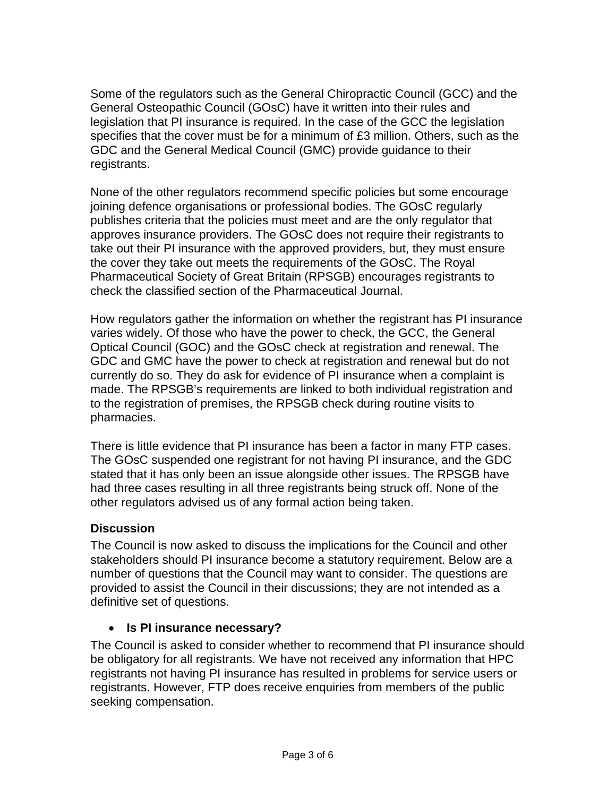Some of the regulators such as the General Chiropractic Council (GCC) and the General Osteopathic Council (GOsC) have it written into their rules and legislation that PI insurance is required. In the case of the GCC the legislation specifies that the cover must be for a minimum of £3 million. Others, such as the GDC and the General Medical Council (GMC) provide guidance to their registrants.

None of the other regulators recommend specific policies but some encourage joining defence organisations or professional bodies. The GOsC regularly publishes criteria that the policies must meet and are the only regulator that approves insurance providers. The GOsC does not require their registrants to take out their PI insurance with the approved providers, but, they must ensure the cover they take out meets the requirements of the GOsC. The Royal Pharmaceutical Society of Great Britain (RPSGB) encourages registrants to check the classified section of the Pharmaceutical Journal.

How regulators gather the information on whether the registrant has PI insurance varies widely. Of those who have the power to check, the GCC, the General Optical Council (GOC) and the GOsC check at registration and renewal. The GDC and GMC have the power to check at registration and renewal but do not currently do so. They do ask for evidence of PI insurance when a complaint is made. The RPSGB's requirements are linked to both individual registration and to the registration of premises, the RPSGB check during routine visits to pharmacies.

There is little evidence that PI insurance has been a factor in many FTP cases. The GOsC suspended one registrant for not having PI insurance, and the GDC stated that it has only been an issue alongside other issues. The RPSGB have had three cases resulting in all three registrants being struck off. None of the other regulators advised us of any formal action being taken.

#### **Discussion**

The Council is now asked to discuss the implications for the Council and other stakeholders should PI insurance become a statutory requirement. Below are a number of questions that the Council may want to consider. The questions are provided to assist the Council in their discussions; they are not intended as a definitive set of questions.

#### • **Is PI insurance necessary?**

The Council is asked to consider whether to recommend that PI insurance should be obligatory for all registrants. We have not received any information that HPC registrants not having PI insurance has resulted in problems for service users or registrants. However, FTP does receive enquiries from members of the public seeking compensation.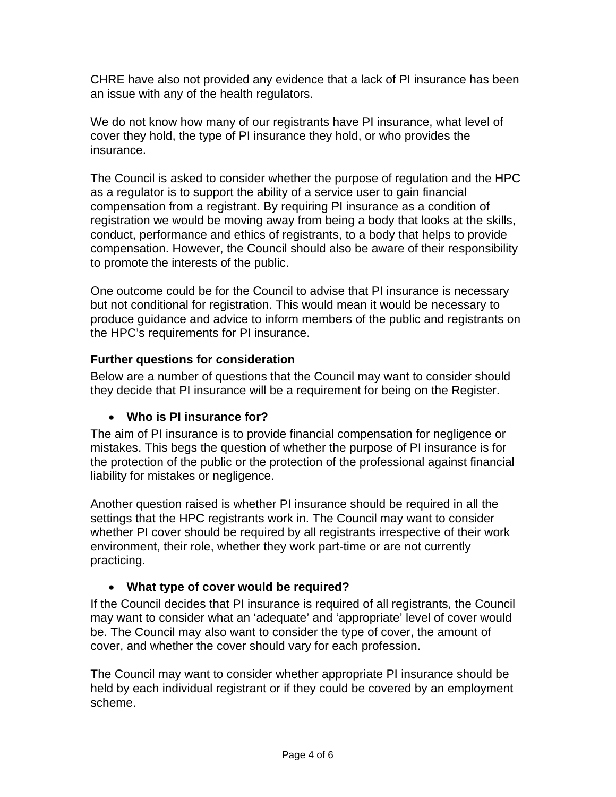CHRE have also not provided any evidence that a lack of PI insurance has been an issue with any of the health regulators.

We do not know how many of our registrants have PI insurance, what level of cover they hold, the type of PI insurance they hold, or who provides the insurance.

The Council is asked to consider whether the purpose of regulation and the HPC as a regulator is to support the ability of a service user to gain financial compensation from a registrant. By requiring PI insurance as a condition of registration we would be moving away from being a body that looks at the skills, conduct, performance and ethics of registrants, to a body that helps to provide compensation. However, the Council should also be aware of their responsibility to promote the interests of the public.

One outcome could be for the Council to advise that PI insurance is necessary but not conditional for registration. This would mean it would be necessary to produce guidance and advice to inform members of the public and registrants on the HPC's requirements for PI insurance.

## **Further questions for consideration**

Below are a number of questions that the Council may want to consider should they decide that PI insurance will be a requirement for being on the Register.

# • **Who is PI insurance for?**

The aim of PI insurance is to provide financial compensation for negligence or mistakes. This begs the question of whether the purpose of PI insurance is for the protection of the public or the protection of the professional against financial liability for mistakes or negligence.

Another question raised is whether PI insurance should be required in all the settings that the HPC registrants work in. The Council may want to consider whether PI cover should be required by all registrants irrespective of their work environment, their role, whether they work part-time or are not currently practicing.

# • **What type of cover would be required?**

If the Council decides that PI insurance is required of all registrants, the Council may want to consider what an 'adequate' and 'appropriate' level of cover would be. The Council may also want to consider the type of cover, the amount of cover, and whether the cover should vary for each profession.

The Council may want to consider whether appropriate PI insurance should be held by each individual registrant or if they could be covered by an employment scheme.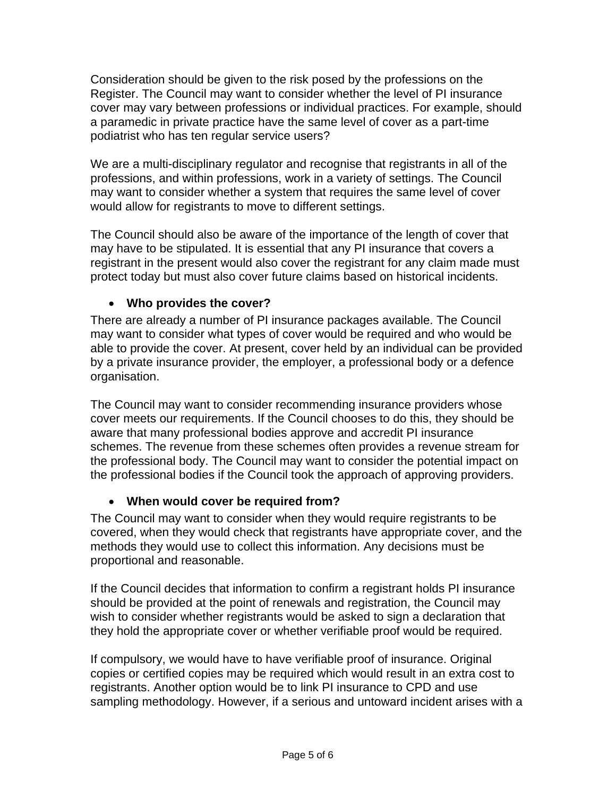Consideration should be given to the risk posed by the professions on the Register. The Council may want to consider whether the level of PI insurance cover may vary between professions or individual practices. For example, should a paramedic in private practice have the same level of cover as a part-time podiatrist who has ten regular service users?

We are a multi-disciplinary regulator and recognise that registrants in all of the professions, and within professions, work in a variety of settings. The Council may want to consider whether a system that requires the same level of cover would allow for registrants to move to different settings.

The Council should also be aware of the importance of the length of cover that may have to be stipulated. It is essential that any PI insurance that covers a registrant in the present would also cover the registrant for any claim made must protect today but must also cover future claims based on historical incidents.

## • **Who provides the cover?**

There are already a number of PI insurance packages available. The Council may want to consider what types of cover would be required and who would be able to provide the cover. At present, cover held by an individual can be provided by a private insurance provider, the employer, a professional body or a defence organisation.

The Council may want to consider recommending insurance providers whose cover meets our requirements. If the Council chooses to do this, they should be aware that many professional bodies approve and accredit PI insurance schemes. The revenue from these schemes often provides a revenue stream for the professional body. The Council may want to consider the potential impact on the professional bodies if the Council took the approach of approving providers.

# • **When would cover be required from?**

The Council may want to consider when they would require registrants to be covered, when they would check that registrants have appropriate cover, and the methods they would use to collect this information. Any decisions must be proportional and reasonable.

If the Council decides that information to confirm a registrant holds PI insurance should be provided at the point of renewals and registration, the Council may wish to consider whether registrants would be asked to sign a declaration that they hold the appropriate cover or whether verifiable proof would be required.

If compulsory, we would have to have verifiable proof of insurance. Original copies or certified copies may be required which would result in an extra cost to registrants. Another option would be to link PI insurance to CPD and use sampling methodology. However, if a serious and untoward incident arises with a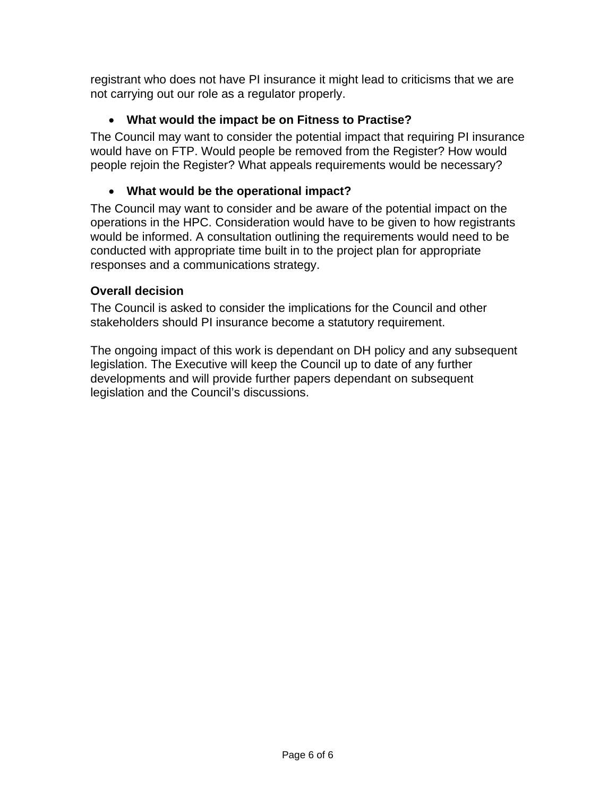registrant who does not have PI insurance it might lead to criticisms that we are not carrying out our role as a regulator properly.

# • **What would the impact be on Fitness to Practise?**

The Council may want to consider the potential impact that requiring PI insurance would have on FTP. Would people be removed from the Register? How would people rejoin the Register? What appeals requirements would be necessary?

#### • **What would be the operational impact?**

The Council may want to consider and be aware of the potential impact on the operations in the HPC. Consideration would have to be given to how registrants would be informed. A consultation outlining the requirements would need to be conducted with appropriate time built in to the project plan for appropriate responses and a communications strategy.

#### **Overall decision**

The Council is asked to consider the implications for the Council and other stakeholders should PI insurance become a statutory requirement.

The ongoing impact of this work is dependant on DH policy and any subsequent legislation. The Executive will keep the Council up to date of any further developments and will provide further papers dependant on subsequent legislation and the Council's discussions.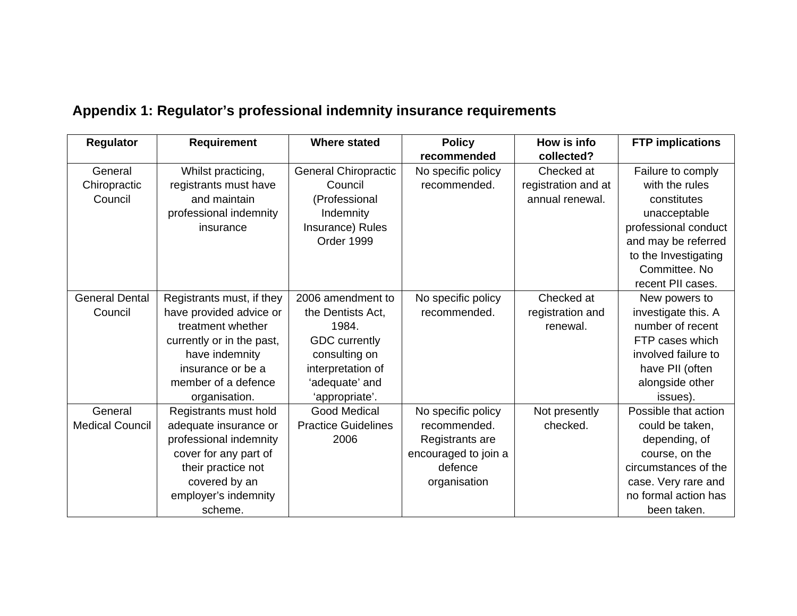| Regulator              | <b>Requirement</b>        | <b>Where stated</b>         | <b>Policy</b><br>recommended | How is info<br>collected? | <b>FTP</b> implications |
|------------------------|---------------------------|-----------------------------|------------------------------|---------------------------|-------------------------|
| General                | Whilst practicing,        | <b>General Chiropractic</b> | No specific policy           | Checked at                | Failure to comply       |
| Chiropractic           | registrants must have     | Council                     | recommended.                 | registration and at       | with the rules          |
| Council                | and maintain              | (Professional               |                              | annual renewal.           | constitutes             |
|                        | professional indemnity    | Indemnity                   |                              |                           | unacceptable            |
|                        | insurance                 | Insurance) Rules            |                              |                           | professional conduct    |
|                        |                           | Order 1999                  |                              |                           | and may be referred     |
|                        |                           |                             |                              |                           | to the Investigating    |
|                        |                           |                             |                              |                           | Committee, No.          |
|                        |                           |                             |                              |                           | recent PII cases.       |
| <b>General Dental</b>  | Registrants must, if they | 2006 amendment to           | No specific policy           | Checked at                | New powers to           |
| Council                | have provided advice or   | the Dentists Act,           | recommended.                 | registration and          | investigate this. A     |
|                        | treatment whether         | 1984.                       |                              | renewal.                  | number of recent        |
|                        | currently or in the past, | <b>GDC</b> currently        |                              |                           | FTP cases which         |
|                        | have indemnity            | consulting on               |                              |                           | involved failure to     |
|                        | insurance or be a         | interpretation of           |                              |                           | have PII (often         |
|                        | member of a defence       | 'adequate' and              |                              |                           | alongside other         |
|                        | organisation.             | 'appropriate'.              |                              |                           | issues).                |
| General                | Registrants must hold     | <b>Good Medical</b>         | No specific policy           | Not presently             | Possible that action    |
| <b>Medical Council</b> | adequate insurance or     | <b>Practice Guidelines</b>  | recommended.                 | checked.                  | could be taken,         |
|                        | professional indemnity    | 2006                        | Registrants are              |                           | depending, of           |
|                        | cover for any part of     |                             | encouraged to join a         |                           | course, on the          |
|                        | their practice not        |                             | defence                      |                           | circumstances of the    |
|                        | covered by an             |                             | organisation                 |                           | case. Very rare and     |
|                        | employer's indemnity      |                             |                              |                           | no formal action has    |
|                        | scheme.                   |                             |                              |                           | been taken.             |

# **Appendix 1: Regulator's professional indemnity insurance requirements**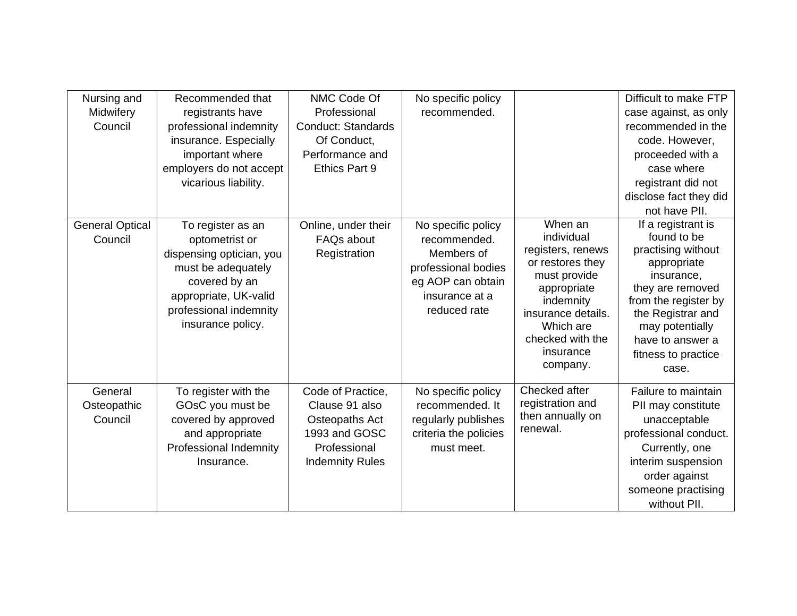| Nursing and<br>Midwifery<br>Council | Recommended that<br>registrants have<br>professional indemnity<br>insurance. Especially<br>important where<br>employers do not accept<br>vicarious liability.                  | NMC Code Of<br>Professional<br>Conduct: Standards<br>Of Conduct,<br>Performance and<br>Ethics Part 9             | No specific policy<br>recommended.                                                                                             |                                                                                                                                                                                            | Difficult to make FTP<br>case against, as only<br>recommended in the<br>code. However,<br>proceeded with a<br>case where<br>registrant did not<br>disclose fact they did<br>not have PII.                                    |
|-------------------------------------|--------------------------------------------------------------------------------------------------------------------------------------------------------------------------------|------------------------------------------------------------------------------------------------------------------|--------------------------------------------------------------------------------------------------------------------------------|--------------------------------------------------------------------------------------------------------------------------------------------------------------------------------------------|------------------------------------------------------------------------------------------------------------------------------------------------------------------------------------------------------------------------------|
| <b>General Optical</b><br>Council   | To register as an<br>optometrist or<br>dispensing optician, you<br>must be adequately<br>covered by an<br>appropriate, UK-valid<br>professional indemnity<br>insurance policy. | Online, under their<br><b>FAQs about</b><br>Registration                                                         | No specific policy<br>recommended.<br>Members of<br>professional bodies<br>eg AOP can obtain<br>insurance at a<br>reduced rate | When an<br>individual<br>registers, renews<br>or restores they<br>must provide<br>appropriate<br>indemnity<br>insurance details.<br>Which are<br>checked with the<br>insurance<br>company. | If a registrant is<br>found to be<br>practising without<br>appropriate<br>insurance,<br>they are removed<br>from the register by<br>the Registrar and<br>may potentially<br>have to answer a<br>fitness to practice<br>case. |
| General<br>Osteopathic<br>Council   | To register with the<br>GOsC you must be<br>covered by approved<br>and appropriate<br>Professional Indemnity<br>Insurance.                                                     | Code of Practice,<br>Clause 91 also<br>Osteopaths Act<br>1993 and GOSC<br>Professional<br><b>Indemnity Rules</b> | No specific policy<br>recommended. It<br>regularly publishes<br>criteria the policies<br>must meet.                            | Checked after<br>registration and<br>then annually on<br>renewal.                                                                                                                          | Failure to maintain<br>PII may constitute<br>unacceptable<br>professional conduct.<br>Currently, one<br>interim suspension<br>order against<br>someone practising<br>without PII.                                            |